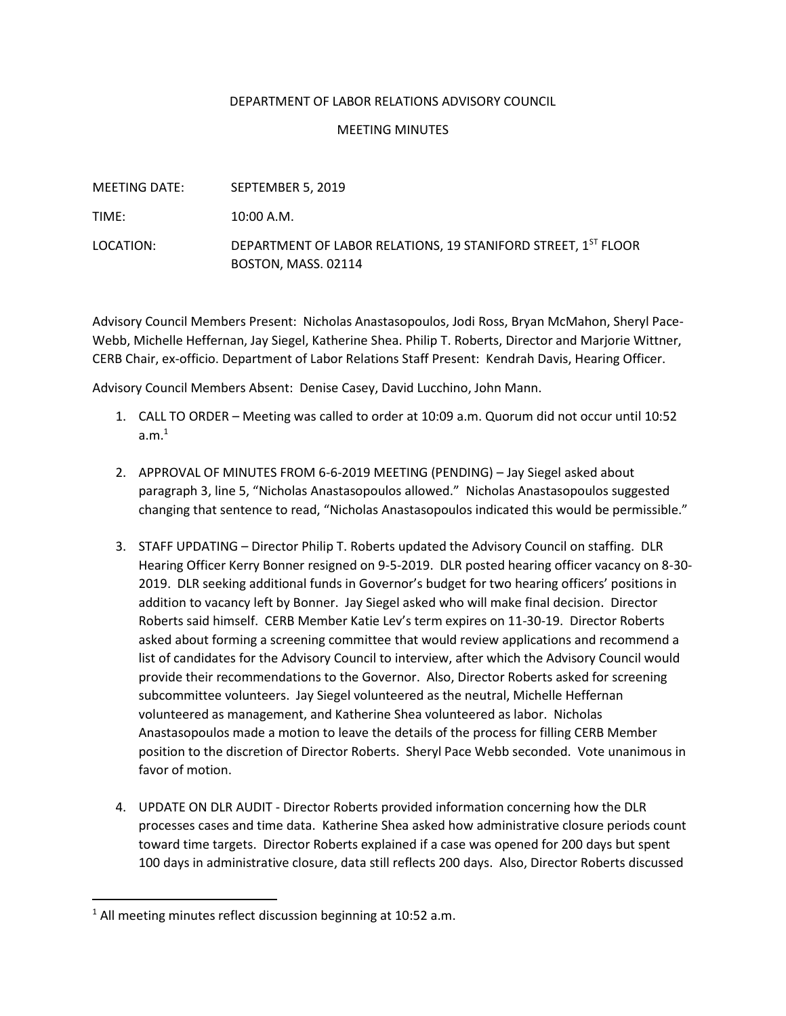## DEPARTMENT OF LABOR RELATIONS ADVISORY COUNCIL

## MEETING MINUTES

| MEETING DATE: | SEPTEMBER 5, 2019                                                                    |
|---------------|--------------------------------------------------------------------------------------|
| TIME:         | $10:00$ A.M.                                                                         |
| LOCATION:     | DEPARTMENT OF LABOR RELATIONS, 19 STANIFORD STREET, 1ST FLOOR<br>BOSTON, MASS. 02114 |

Advisory Council Members Present: Nicholas Anastasopoulos, Jodi Ross, Bryan McMahon, Sheryl Pace-Webb, Michelle Heffernan, Jay Siegel, Katherine Shea. Philip T. Roberts, Director and Marjorie Wittner, CERB Chair, ex-officio. Department of Labor Relations Staff Present: Kendrah Davis, Hearing Officer.

Advisory Council Members Absent: Denise Casey, David Lucchino, John Mann.

- 1. CALL TO ORDER Meeting was called to order at 10:09 a.m. Quorum did not occur until 10:52 a.m. $^1$
- 2. APPROVAL OF MINUTES FROM 6-6-2019 MEETING (PENDING) Jay Siegel asked about paragraph 3, line 5, "Nicholas Anastasopoulos allowed." Nicholas Anastasopoulos suggested changing that sentence to read, "Nicholas Anastasopoulos indicated this would be permissible."
- 3. STAFF UPDATING Director Philip T. Roberts updated the Advisory Council on staffing. DLR Hearing Officer Kerry Bonner resigned on 9-5-2019. DLR posted hearing officer vacancy on 8-30- 2019. DLR seeking additional funds in Governor's budget for two hearing officers' positions in addition to vacancy left by Bonner. Jay Siegel asked who will make final decision. Director Roberts said himself. CERB Member Katie Lev's term expires on 11-30-19. Director Roberts asked about forming a screening committee that would review applications and recommend a list of candidates for the Advisory Council to interview, after which the Advisory Council would provide their recommendations to the Governor. Also, Director Roberts asked for screening subcommittee volunteers. Jay Siegel volunteered as the neutral, Michelle Heffernan volunteered as management, and Katherine Shea volunteered as labor. Nicholas Anastasopoulos made a motion to leave the details of the process for filling CERB Member position to the discretion of Director Roberts. Sheryl Pace Webb seconded. Vote unanimous in favor of motion.
- 4. UPDATE ON DLR AUDIT Director Roberts provided information concerning how the DLR processes cases and time data. Katherine Shea asked how administrative closure periods count toward time targets. Director Roberts explained if a case was opened for 200 days but spent 100 days in administrative closure, data still reflects 200 days. Also, Director Roberts discussed

 $1$  All meeting minutes reflect discussion beginning at 10:52 a.m.